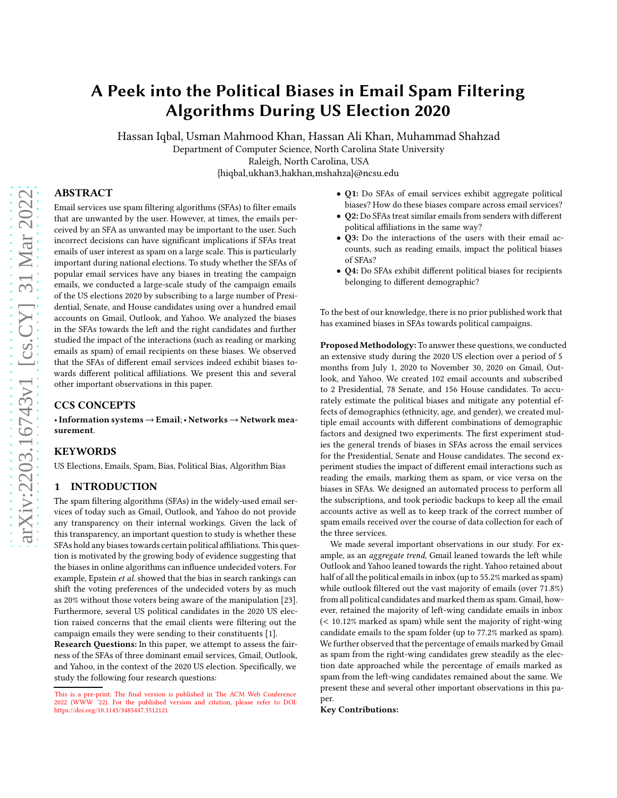# A Peek into the Political Biases in Email Spam Filtering Algorithms During US Election 2020

Hassan Iqbal, Usman Mahmood Khan, Hassan Ali Khan, Muhammad Shahzad

Department of Computer Science, North Carolina State University

Raleigh, North Carolina, USA

{hiqbal,ukhan3,hakhan,mshahza}@ncsu.edu

# ABSTRACT

Email services use spam filtering algorithms (SFAs) to filter emails that are unwanted by the user. However, at times, the emails perceived by an SFA as unwanted may be important to the user. Such incorrect decisions can have significant implications if SFAs treat emails of user interest as spam on a large scale. This is particularly important during national elections. To study whether the SFAs of popular email services have any biases in treating the campaign emails, we conducted a large-scale study of the campaign emails of the US elections 2020 by subscribing to a large number of Presidential, Senate, and House candidates using over a hundred email accounts on Gmail, Outlook, and Yahoo. We analyzed the biases in the SFAs towards the left and the right candidates and further studied the impact of the interactions (such as reading or marking emails as spam) of email recipients on these biases. We observed that the SFAs of different email services indeed exhibit biases towards different political affiliations. We present this and several other important observations in this paper.

## CCS CONCEPTS

• Information systems  $\rightarrow$  Email; • Networks  $\rightarrow$  Network measurement.

#### KEYWORDS

US Elections, Emails, Spam, Bias, Political Bias, Algorithm Bias

# <span id="page-0-1"></span>1 INTRODUCTION

The spam filtering algorithms (SFAs) in the widely-used email services of today such as Gmail, Outlook, and Yahoo do not provide any transparency on their internal workings. Given the lack of this transparency, an important question to study is whether these SFAs hold any biases towards certain political affiliations. This question is motivated by the growing body of evidence suggesting that the biases in online algorithms can influence undecided voters. For example, Epstein et al. showed that the bias in search rankings can shift the voting preferences of the undecided voters by as much as 20% without those voters being aware of the manipulation [\[23](#page-8-0)]. Furthermore, several US political candidates in the 2020 US election raised concerns that the email clients were filtering out the campaign emails they were sending to their constituents [\[1\]](#page-8-1).

Research Questions: In this paper, [w](#page-0-0)e attempt to assess the fairness of the SFAs of three dominant email services, Gmail, Outlook, and Yahoo, in the context of the 2020 US election. Specifically, we study the following four research questions:

- Q1: Do SFAs of email services exhibit aggregate political biases? How do these biases compare across email services?
- Q2: Do SFAs treat similar emails from senders with different political affiliations in the same way?
- Q3: Do the interactions of the users with their email accounts, such as reading emails, impact the political biases of SFAs?
- Q4: Do SFAs exhibit different political biases for recipients belonging to different demographic?

To the best of our knowledge, there is no prior published work that has examined biases in SFAs towards political campaigns.

Proposed Methodology: To answer these questions, we conducted an extensive study during the 2020 US election over a period of 5 months from July 1, 2020 to November 30, 2020 on Gmail, Outlook, and Yahoo. We created 102 email accounts and subscribed to 2 Presidential, 78 Senate, and 156 House candidates. To accurately estimate the political biases and mitigate any potential effects of demographics (ethnicity, age, and gender), we created multiple email accounts with different combinations of demographic factors and designed two experiments. The first experiment studies the general trends of biases in SFAs across the email services for the Presidential, Senate and House candidates. The second experiment studies the impact of different email interactions such as reading the emails, marking them as spam, or vice versa on the biases in SFAs. We designed an automated process to perform all the subscriptions, and took periodic backups to keep all the email accounts active as well as to keep track of the correct number of spam emails received over the course of data collection for each of the three services.

We made several important observations in our study. For example, as an aggregate trend, Gmail leaned towards the left while Outlook and Yahoo leaned towards the right. Yahoo retained about half of all the political emails in inbox (up to 55.2% marked as spam) while outlook filtered out the vast majority of emails (over 71.8%) from all political candidates and marked them as spam. Gmail, however, retained the majority of left-wing candidate emails in inbox (< 10.12% marked as spam) while sent the majority of right-wing candidate emails to the spam folder (up to 77.2% marked as spam). We further observed that the percentage of emails marked by Gmail as spam from the right-wing candidates grew steadily as the election date approached while the percentage of emails marked as spam from the left-wing candidates remained about the same. We present these and several other important observations in this paper.

Key Contributions:

<span id="page-0-0"></span>This is a pre-print. The final version is published in The ACM Web Conference 2022 (WWW '22). For the published version and citation, please refer to DOI: https://doi.org/10.1145/3485447.3512121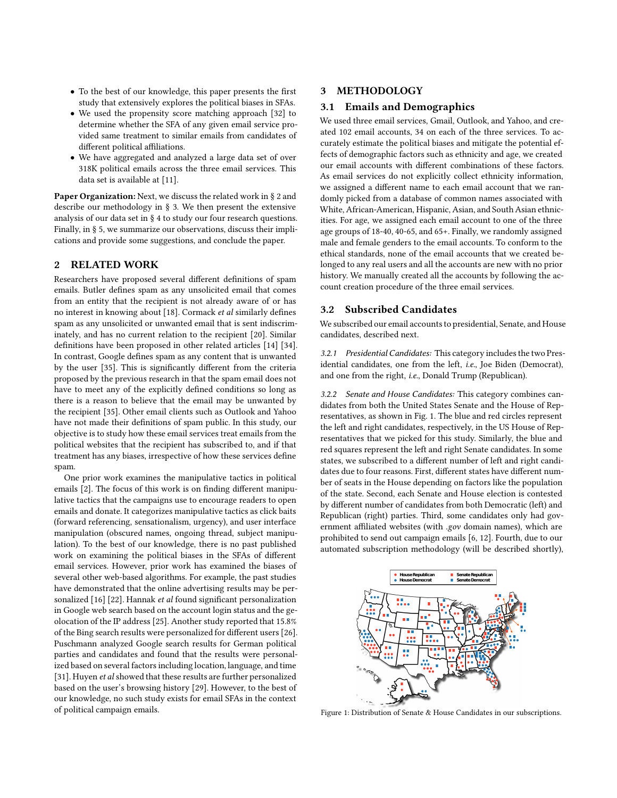- To the best of our knowledge, this paper presents the first study that extensively explores the political biases in SFAs.
- We used the propensity score matching approach [\[32](#page-8-2)] to determine whether the SFA of any given email service provided same treatment to similar emails from candidates of different political affiliations.
- We have aggregated and analyzed a large data set of over 318K political emails across the three email services. This data set is available at [\[11](#page-8-3)].

Paper Organization: Next, we discuss the related work in § [2](#page-1-0) and describe our methodology in § [3.](#page-1-1) We then present the extensive analysis of our data set in § [4](#page-2-0) to study our four research questions. Finally, in § [5,](#page-7-0) we summarize our observations, discuss their implications and provide some suggestions, and conclude the paper.

#### <span id="page-1-0"></span>2 RELATED WORK

Researchers have proposed several different definitions of spam emails. Butler defines spam as any unsolicited email that comes from an entity that the recipient is not already aware of or has no interest in knowing about [\[18\]](#page-8-4). Cormack et al similarly defines spam as any unsolicited or unwanted email that is sent indiscriminately, and has no current relation to the recipient [\[20](#page-8-5)]. Similar definitions have been proposed in other related articles [\[14\]](#page-8-6) [\[34](#page-8-7)]. In contrast, Google defines spam as any content that is unwanted by the user [\[35\]](#page-8-8). This is significantly different from the criteria proposed by the previous research in that the spam email does not have to meet any of the explicitly defined conditions so long as there is a reason to believe that the email may be unwanted by the recipient [\[35](#page-8-8)]. Other email clients such as Outlook and Yahoo have not made their definitions of spam public. In this study, our objective is to study how these email services treat emails from the political websites that the recipient has subscribed to, and if that treatment has any biases, irrespective of how these services define spam.

One prior work examines the manipulative tactics in political emails [\[2](#page-8-9)]. The focus of this work is on finding different manipulative tactics that the campaigns use to encourage readers to open emails and donate. It categorizes manipulative tactics as click baits (forward referencing, sensationalism, urgency), and user interface manipulation (obscured names, ongoing thread, subject manipulation). To the best of our knowledge, there is no past published work on examining the political biases in the SFAs of different email services. However, prior work has examined the biases of several other web-based algorithms. For example, the past studies have demonstrated that the online advertising results may be personalized [\[16\]](#page-8-10) [\[22](#page-8-11)]. Hannak et al found significant personalization in Google web search based on the account login status and the geolocation of the IP address [\[25\]](#page-8-12). Another study reported that 15.8% of the Bing search results were personalized for different users [\[26](#page-8-13)]. Puschmann analyzed Google search results for German political parties and candidates and found that the results were personalized based on several factors including location, language, and time [\[31](#page-8-14)]. Huyen et al showed that these results are further personalized based on the user's browsing history [\[29\]](#page-8-15). However, to the best of our knowledge, no such study exists for email SFAs in the context of political campaign emails.

# <span id="page-1-3"></span><span id="page-1-1"></span>3 METHODOLOGY

#### 3.1 Emails and Demographics

We used three email services, Gmail, Outlook, and Yahoo, and created 102 email accounts, 34 on each of the three services. To accurately estimate the political biases and mitigate the potential effects of demographic factors such as ethnicity and age, we created our email accounts with different combinations of these factors. As email services do not explicitly collect ethnicity information, we assigned a different name to each email account that we randomly picked from a database of common names associated with White, African-American, Hispanic, Asian, and South Asian ethnicities. For age, we assigned each email account to one of the three age groups of 18-40, 40-65, and 65+. Finally, we randomly assigned male and female genders to the email accounts. To conform to the ethical standards, none of the email accounts that we created belonged to any real users and all the accounts are new with no prior history. We manually created all the accounts by following the account creation procedure of the three email services.

## 3.2 Subscribed Candidates

We subscribed our email accounts to presidential, Senate, and House candidates, described next.

*3.2.1 Presidential Candidates:* This category includes the two Presidential candidates, one from the left, i.e., Joe Biden (Democrat), and one from the right, i.e., Donald Trump (Republican).

*3.2.2 Senate and House Candidates:* This category combines candidates from both the United States Senate and the House of Representatives, as shown in Fig. [1.](#page-1-2) The blue and red circles represent the left and right candidates, respectively, in the US House of Representatives that we picked for this study. Similarly, the blue and red squares represent the left and right Senate candidates. In some states, we subscribed to a different number of left and right candidates due to four reasons. First, different states have different number of seats in the House depending on factors like the population of the state. Second, each Senate and House election is contested by different number of candidates from both Democratic (left) and Republican (right) parties. Third, some candidates only had government affiliated websites (with .gov domain names), which are prohibited to send out campaign emails [\[6,](#page-8-16) [12\]](#page-8-17). Fourth, due to our automated subscription methodology (will be described shortly),

<span id="page-1-2"></span>

Figure 1: Distribution of Senate & House Candidates in our subscriptions.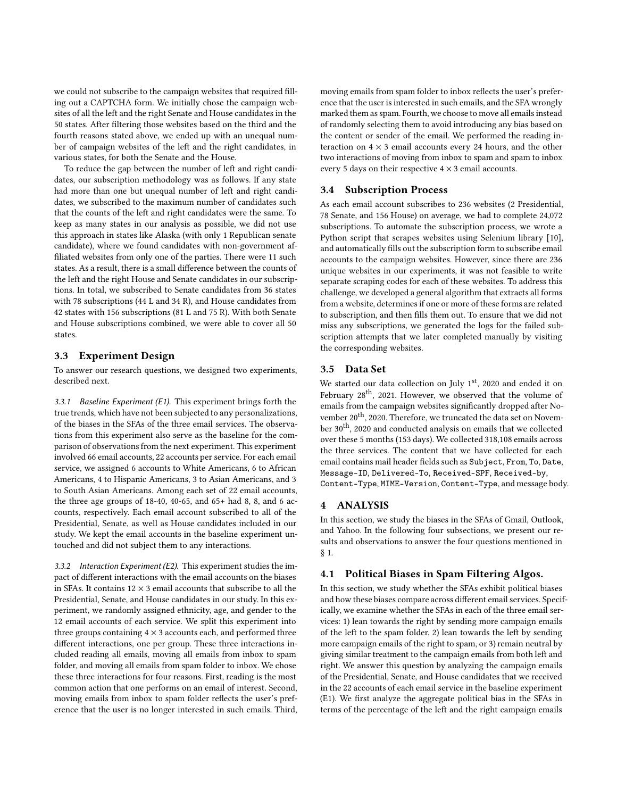we could not subscribe to the campaign websites that required filling out a CAPTCHA form. We initially chose the campaign websites of all the left and the right Senate and House candidates in the 50 states. After filtering those websites based on the third and the fourth reasons stated above, we ended up with an unequal number of campaign websites of the left and the right candidates, in various states, for both the Senate and the House.

To reduce the gap between the number of left and right candidates, our subscription methodology was as follows. If any state had more than one but unequal number of left and right candidates, we subscribed to the maximum number of candidates such that the counts of the left and right candidates were the same. To keep as many states in our analysis as possible, we did not use this approach in states like Alaska (with only 1 Republican senate candidate), where we found candidates with non-government affiliated websites from only one of the parties. There were 11 such states. As a result, there is a small difference between the counts of the left and the right House and Senate candidates in our subscriptions. In total, we subscribed to Senate candidates from 36 states with 78 subscriptions (44 L and 34 R), and House candidates from 42 states with 156 subscriptions (81 L and 75 R). With both Senate and House subscriptions combined, we were able to cover all 50 states.

## 3.3 Experiment Design

To answer our research questions, we designed two experiments, described next.

*3.3.1 Baseline Experiment (E1).* This experiment brings forth the true trends, which have not been subjected to any personalizations, of the biases in the SFAs of the three email services. The observations from this experiment also serve as the baseline for the comparison of observations from the next experiment. This experiment involved 66 email accounts, 22 accounts per service. For each email service, we assigned 6 accounts to White Americans, 6 to African Americans, 4 to Hispanic Americans, 3 to Asian Americans, and 3 to South Asian Americans. Among each set of 22 email accounts, the three age groups of 18-40, 40-65, and 65+ had 8, 8, and 6 accounts, respectively. Each email account subscribed to all of the Presidential, Senate, as well as House candidates included in our study. We kept the email accounts in the baseline experiment untouched and did not subject them to any interactions.

<span id="page-2-2"></span>*3.3.2 Interaction Experiment (E2).* This experiment studies the impact of different interactions with the email accounts on the biases in SFAs. It contains  $12 \times 3$  email accounts that subscribe to all the Presidential, Senate, and House candidates in our study. In this experiment, we randomly assigned ethnicity, age, and gender to the 12 email accounts of each service. We split this experiment into three groups containing  $4 \times 3$  accounts each, and performed three different interactions, one per group. These three interactions included reading all emails, moving all emails from inbox to spam folder, and moving all emails from spam folder to inbox. We chose these three interactions for four reasons. First, reading is the most common action that one performs on an email of interest. Second, moving emails from inbox to spam folder reflects the user's preference that the user is no longer interested in such emails. Third, moving emails from spam folder to inbox reflects the user's preference that the user is interested in such emails, and the SFA wrongly marked them as spam. Fourth, we choose to move all emails instead of randomly selecting them to avoid introducing any bias based on the content or sender of the email. We performed the reading interaction on  $4 \times 3$  email accounts every 24 hours, and the other two interactions of moving from inbox to spam and spam to inbox every 5 days on their respective  $4 \times 3$  email accounts.

#### 3.4 Subscription Process

As each email account subscribes to 236 websites (2 Presidential, 78 Senate, and 156 House) on average, we had to complete 24,072 subscriptions. To automate the subscription process, we wrote a Python script that scrapes websites using Selenium library [\[10](#page-8-18)], and automatically fills out the subscription form to subscribe email accounts to the campaign websites. However, since there are 236 unique websites in our experiments, it was not feasible to write separate scraping codes for each of these websites. To address this challenge, we developed a general algorithm that extracts all forms from a website, determines if one or more of these forms are related to subscription, and then fills them out. To ensure that we did not miss any subscriptions, we generated the logs for the failed subscription attempts that we later completed manually by visiting the corresponding websites.

## 3.5 Data Set

We started our data collection on July 1st, 2020 and ended it on February 28<sup>th</sup>, 2021. However, we observed that the volume of emails from the campaign websites significantly dropped after November 20<sup>th</sup>, 2020. Therefore, we truncated the data set on November 30<sup>th</sup>, 2020 and conducted analysis on emails that we collected over these 5 months (153 days). We collected 318,108 emails across the three services. The content that we have collected for each email contains mail header fields such as Subject, From, To, Date, Message-ID, Delivered-To, Received-SPF, Received-by, Content-Type, MIME-Version, Content-Type, and message body.

## <span id="page-2-0"></span>4 ANALYSIS

In this section, we study the biases in the SFAs of Gmail, Outlook, and Yahoo. In the following four subsections, we present our results and observations to answer the four questions mentioned in § [1.](#page-0-1)

## <span id="page-2-1"></span>4.1 Political Biases in Spam Filtering Algos.

In this section, we study whether the SFAs exhibit political biases and how these biases compare across different email services. Specifically, we examine whether the SFAs in each of the three email services: 1) lean towards the right by sending more campaign emails of the left to the spam folder, 2) lean towards the left by sending more campaign emails of the right to spam, or 3) remain neutral by giving similar treatment to the campaign emails from both left and right. We answer this question by analyzing the campaign emails of the Presidential, Senate, and House candidates that we received in the 22 accounts of each email service in the baseline experiment (E1). We first analyze the aggregate political bias in the SFAs in terms of the percentage of the left and the right campaign emails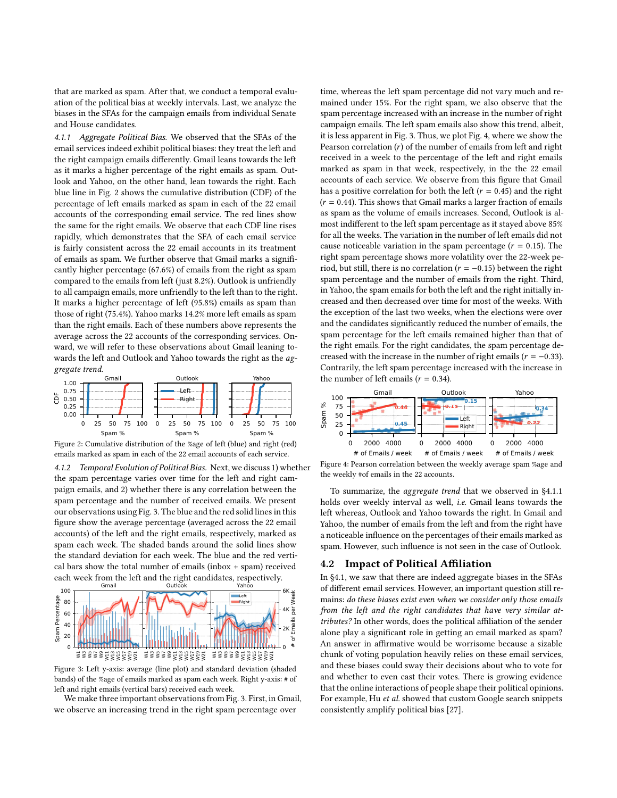that are marked as spam. After that, we conduct a temporal evaluation of the political bias at weekly intervals. Last, we analyze the biases in the SFAs for the campaign emails from individual Senate and House candidates.

<span id="page-3-3"></span>*4.1.1 Aggregate Political Bias.* We observed that the SFAs of the email services indeed exhibit political biases: they treat the left and the right campaign emails differently. Gmail leans towards the left as it marks a higher percentage of the right emails as spam. Outlook and Yahoo, on the other hand, lean towards the right. Each blue line in Fig. [2](#page-3-0) shows the cumulative distribution (CDF) of the percentage of left emails marked as spam in each of the 22 email accounts of the corresponding email service. The red lines show the same for the right emails. We observe that each CDF line rises rapidly, which demonstrates that the SFA of each email service is fairly consistent across the 22 email accounts in its treatment of emails as spam. We further observe that Gmail marks a significantly higher percentage (67.6%) of emails from the right as spam compared to the emails from left (just 8.2%). Outlook is unfriendly to all campaign emails, more unfriendly to the left than to the right. It marks a higher percentage of left (95.8%) emails as spam than those of right (75.4%). Yahoo marks 14.2% more left emails as spam than the right emails. Each of these numbers above represents the average across the 22 accounts of the corresponding services. Onward, we will refer to these observations about Gmail leaning towards the left and Outlook and Yahoo towards the right as the aggregate trend.

<span id="page-3-0"></span>

Figure 2: Cumulative distribution of the %age of left (blue) and right (red) emails marked as spam in each of the 22 email accounts of each service.

*4.1.2 Temporal Evolution of Political Bias.* Next, we discuss 1) whether the spam percentage varies over time for the left and right campaign emails, and 2) whether there is any correlation between the spam percentage and the number of received emails. We present our observations using Fig. [3.](#page-3-1) The blue and the red solid lines in this figure show the average percentage (averaged across the 22 email accounts) of the left and the right emails, respectively, marked as spam each week. The shaded bands around the solid lines show the standard deviation for each week. The blue and the red vertical bars show the total number of emails (inbox + spam) received each week from the left and the right candidates, respectively. **Outlook** Gmail

<span id="page-3-1"></span>

Figure 3: Left y-axis: average (line plot) and standard deviation (shaded bands) of the %age of emails marked as spam each week. Right y-axis: # of left and right emails (vertical bars) received each week.

We make three important observations from Fig. [3.](#page-3-1) First, in Gmail, we observe an increasing trend in the right spam percentage over

time, whereas the left spam percentage did not vary much and remained under 15%. For the right spam, we also observe that the spam percentage increased with an increase in the number of right campaign emails. The left spam emails also show this trend, albeit, it is less apparent in Fig. [3.](#page-3-1) Thus, we plot Fig. [4,](#page-3-2) where we show the Pearson correlation  $(r)$  of the number of emails from left and right received in a week to the percentage of the left and right emails marked as spam in that week, respectively, in the the 22 email accounts of each service. We observe from this figure that Gmail has a positive correlation for both the left ( $r = 0.45$ ) and the right  $(r = 0.44)$ . This shows that Gmail marks a larger fraction of emails as spam as the volume of emails increases. Second, Outlook is almost indifferent to the left spam percentage as it stayed above 85% for all the weeks. The variation in the number of left emails did not cause noticeable variation in the spam percentage ( $r = 0.15$ ). The right spam percentage shows more volatility over the 22-week period, but still, there is no correlation ( $r = -0.15$ ) between the right spam percentage and the number of emails from the right. Third, in Yahoo, the spam emails for both the left and the right initially increased and then decreased over time for most of the weeks. With the exception of the last two weeks, when the elections were over and the candidates significantly reduced the number of emails, the spam percentage for the left emails remained higher than that of the right emails. For the right candidates, the spam percentage decreased with the increase in the number of right emails ( $r = -0.33$ ). Contrarily, the left spam percentage increased with the increase in the number of left emails ( $r = 0.34$ ).

<span id="page-3-2"></span>

Figure 4: Pearson correlation between the weekly average spam %age and the weekly #of emails in the 22 accounts.

To summarize, the aggregate trend that we observed in [§4.1.1](#page-3-3) holds over weekly interval as well, i.e. Gmail leans towards the left whereas, Outlook and Yahoo towards the right. In Gmail and Yahoo, the number of emails from the left and from the right have a noticeable influence on the percentages of their emails marked as spam. However, such influence is not seen in the case of Outlook.

#### <span id="page-3-4"></span>4.2 Impact of Political Affiliation

In [§4.1,](#page-2-1) we saw that there are indeed aggregate biases in the SFAs of different email services. However, an important question still remains: do these biases exist even when we consider only those emails from the left and the right candidates that have very similar attributes? In other words, does the political affiliation of the sender alone play a significant role in getting an email marked as spam? An answer in affirmative would be worrisome because a sizable chunk of voting population heavily relies on these email services, and these biases could sway their decisions about who to vote for and whether to even cast their votes. There is growing evidence that the online interactions of people shape their political opinions. For example, Hu et al. showed that custom Google search snippets consistently amplify political bias [\[27\]](#page-8-19).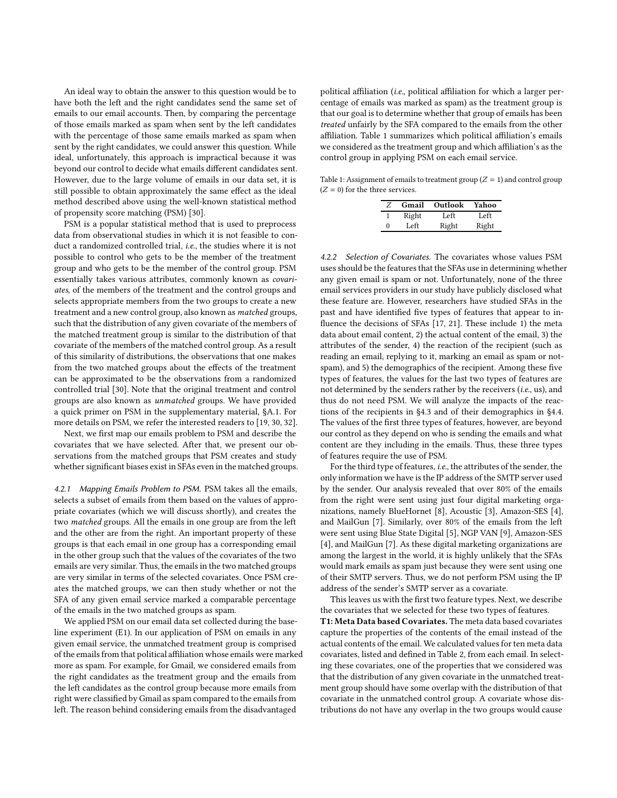An ideal way to obtain the answer to this question would be to have both the left and the right candidates send the same set of emails to our email accounts. Then, by comparing the percentage of those emails marked as spam when sent by the left candidates with the percentage of those same emails marked as spam when sent by the right candidates, we could answer this question. While ideal, unfortunately, this approach is impractical because it was beyond our control to decide what emails different candidates sent. However, due to the large volume of emails in our data set, it is still possible to obtain approximately the same effect as the ideal method described above using the well-known statistical method of propensity score matching (PSM) [\[30\]](#page-8-20).

PSM is a popular statistical method that is used to preprocess data from observational studies in which it is not feasible to conduct a randomized controlled trial, i.e., the studies where it is not possible to control who gets to be the member of the treatment group and who gets to be the member of the control group. PSM essentially takes various attributes, commonly known as covariates, of the members of the treatment and the control groups and selects appropriate members from the two groups to create a new treatment and a new control group, also known as matched groups, such that the distribution of any given covariate of the members of the matched treatment group is similar to the distribution of that covariate of the members of the matched control group. As a result of this similarity of distributions, the observations that one makes from the two matched groups about the effects of the treatment can be approximated to be the observations from a randomized controlled trial [\[30\]](#page-8-20). Note that the original treatment and control groups are also known as unmatched groups. We have provided a quick primer on PSM in the supplementary material, [§A.1.](#page-8-21) For more details on PSM, we refer the interested readers to [\[19,](#page-8-22) [30](#page-8-20), [32](#page-8-2)].

Next, we first map our emails problem to PSM and describe the covariates that we have selected. After that, we present our observations from the matched groups that PSM creates and study whether significant biases exist in SFAs even in the matched groups.

*4.2.1 Mapping Emails Problem to PSM.* PSM takes all the emails, selects a subset of emails from them based on the values of appropriate covariates (which we will discuss shortly), and creates the two matched groups. All the emails in one group are from the left and the other are from the right. An important property of these groups is that each email in one group has a corresponding email in the other group such that the values of the covariates of the two emails are very similar. Thus, the emails in the two matched groups are very similar in terms of the selected covariates. Once PSM creates the matched groups, we can then study whether or not the SFA of any given email service marked a comparable percentage of the emails in the two matched groups as spam.

We applied PSM on our email data set collected during the baseline experiment (E1). In our application of PSM on emails in any given email service, the unmatched treatment group is comprised of the emails from that political affiliation whose emails were marked more as spam. For example, for Gmail, we considered emails from the right candidates as the treatment group and the emails from the left candidates as the control group because more emails from right were classified by Gmail as spam compared to the emails from left. The reason behind considering emails from the disadvantaged

political affiliation (i.e., political affiliation for which a larger percentage of emails was marked as spam) as the treatment group is that our goal is to determine whether that group of emails has been treated unfairly by the SFA compared to the emails from the other affiliation. Table [1](#page-4-0) summarizes which political affiliation's emails we considered as the treatment group and which affiliation's as the control group in applying PSM on each email service.

<span id="page-4-0"></span>Table 1: Assignment of emails to treatment group  $(Z = 1)$  and control group  $(Z = 0)$  for the three services.

| Z | Gmail | Outlook | Yahoo |
|---|-------|---------|-------|
|   | Right | Left    | Left  |
| 0 | Left. | Right   | Right |

*4.2.2 Selection of Covariates.* The covariates whose values PSM uses should be the features that the SFAs use in determining whether any given email is spam or not. Unfortunately, none of the three email services providers in our study have publicly disclosed what these feature are. However, researchers have studied SFAs in the past and have identified five types of features that appear to influence the decisions of SFAs [\[17,](#page-8-23) [21\]](#page-8-24). These include 1) the meta data about email content, 2) the actual content of the email, 3) the attributes of the sender, 4) the reaction of the recipient (such as reading an email, replying to it, marking an email as spam or notspam), and 5) the demographics of the recipient. Among these five types of features, the values for the last two types of features are not determined by the senders rather by the receivers (i.e., us), and thus do not need PSM. We will analyze the impacts of the reactions of the recipients in [§4.3](#page-5-0) and of their demographics in [§4.4.](#page-7-1) The values of the first three types of features, however, are beyond our control as they depend on who is sending the emails and what content are they including in the emails. Thus, these three types of features require the use of PSM.

For the third type of features, i.e., the attributes of the sender, the only information we have is the IP address of the SMTP server used by the sender. Our analysis revealed that over 80% of the emails from the right were sent using just four digital marketing organizations, namely BlueHornet [\[8\]](#page-8-25), Acoustic [\[3\]](#page-8-26), Amazon-SES [\[4](#page-8-27)], and MailGun [\[7](#page-8-28)]. Similarly, over 80% of the emails from the left were sent using Blue State Digital [\[5](#page-8-29)], NGP VAN [\[9\]](#page-8-30), Amazon-SES [\[4](#page-8-27)], and MailGun [\[7\]](#page-8-28). As these digital marketing organizations are among the largest in the world, it is highly unlikely that the SFAs would mark emails as spam just because they were sent using one of their SMTP servers. Thus, we do not perform PSM using the IP address of the sender's SMTP server as a covariate.

This leaves us with the first two feature types. Next, we describe the covariates that we selected for these two types of features. T1: Meta Data based Covariates. The meta data based covariates capture the properties of the contents of the email instead of the actual contents of the email. We calculated values for ten meta data covariates, listed and defined in Table [2,](#page-5-1) from each email. In selecting these covariates, one of the properties that we considered was that the distribution of any given covariate in the unmatched treatment group should have some overlap with the distribution of that covariate in the unmatched control group. A covariate whose distributions do not have any overlap in the two groups would cause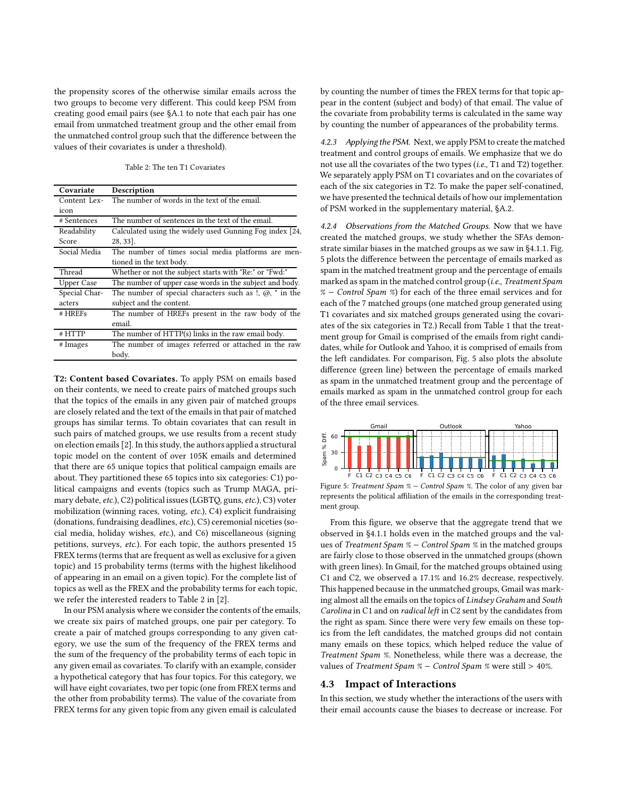the propensity scores of the otherwise similar emails across the two groups to become very different. This could keep PSM from creating good email pairs (see [§A.1](#page-8-21) to note that each pair has one email from unmatched treatment group and the other email from the unmatched control group such that the difference between the values of their covariates is under a threshold).

Table 2: The ten T1 Covariates

<span id="page-5-1"></span>

| Covariate         | Description                                                                    |  |
|-------------------|--------------------------------------------------------------------------------|--|
| Content Lex-      | The number of words in the text of the email.                                  |  |
| icon              |                                                                                |  |
| # Sentences       | The number of sentences in the text of the email.                              |  |
| Readability       | Calculated using the widely used Gunning Fog index [24,                        |  |
| Score             | 28, 33].                                                                       |  |
| Social Media      | The number of times social media platforms are men-                            |  |
|                   | tioned in the text body.                                                       |  |
| Thread            | Whether or not the subject starts with "Re:" or "Fwd:"                         |  |
| <b>Upper Case</b> | The number of upper case words in the subject and body.                        |  |
| Special Char-     | The number of special characters such as $\alpha$ , $\omega$ , $\gamma$ in the |  |
| acters            | subject and the content.                                                       |  |
| # HREFs           | The number of HREFs present in the raw body of the                             |  |
|                   | email.                                                                         |  |
| # HTTP            | The number of HTTP(s) links in the raw email body.                             |  |
| # Images          | The number of images referred or attached in the raw                           |  |
|                   | body.                                                                          |  |

T2: Content based Covariates. To apply PSM on emails based on their contents, we need to create pairs of matched groups such that the topics of the emails in any given pair of matched groups are closely related and the text of the emails in that pair of matched groups has similar terms. To obtain covariates that can result in such pairs of matched groups, we use results from a recent study on election emails [\[2\]](#page-8-9). In this study, the authors applied a structural topic model on the content of over 105K emails and determined that there are 65 unique topics that political campaign emails are about. They partitioned these 65 topics into six categories: C1) political campaigns and events (topics such as Trump MAGA, primary debate, etc.), C2) political issues (LGBTQ, guns, etc.), C3) voter mobilization (winning races, voting, etc.), C4) explicit fundraising (donations, fundraising deadlines, etc.), C5) ceremonial niceties (social media, holiday wishes, etc.), and C6) miscellaneous (signing petitions, surveys, etc.). For each topic, the authors presented 15 FREX terms (terms that are frequent as well as exclusive for a given topic) and 15 probability terms (terms with the highest likelihood of appearing in an email on a given topic). For the complete list of topics as well as the FREX and the probability terms for each topic, we refer the interested readers to Table 2 in [\[2](#page-8-9)].

In our PSM analysis where we consider the contents of the emails, we create six pairs of matched groups, one pair per category. To create a pair of matched groups corresponding to any given category, we use the sum of the frequency of the FREX terms and the sum of the frequency of the probability terms of each topic in any given email as covariates. To clarify with an example, consider a hypothetical category that has four topics. For this category, we will have eight covariates, two per topic (one from FREX terms and the other from probability terms). The value of the covariate from FREX terms for any given topic from any given email is calculated

by counting the number of times the FREX terms for that topic appear in the content (subject and body) of that email. The value of the covariate from probability terms is calculated in the same way by counting the number of appearances of the probability terms.

*4.2.3 Applying the PSM.* Next, we apply PSM to create the matched treatment and control groups of emails. We emphasize that we do not use all the covariates of the two types (i.e., T1 and T2) together. We separately apply PSM on T1 covariates and on the covariates of each of the six categories in T2. To make the paper self-conatined, we have presented the technical details of how our implementation of PSM worked in the supplementary material, [§A.2.](#page-9-0)

*4.2.4 Observations from the Matched Groups.* Now that we have created the matched groups, we study whether the SFAs demonstrate similar biases in the matched groups as we saw in [§4.1.1.](#page-3-3) Fig. [5](#page-5-2) plots the difference between the percentage of emails marked as spam in the matched treatment group and the percentage of emails marked as spam in the matched control group (i.e., Treatment Spam % − Control Spam %) for each of the three email services and for each of the 7 matched groups (one matched group generated using T1 covariates and six matched groups generated using the covariates of the six categories in T2.) Recall from Table [1](#page-4-0) that the treatment group for Gmail is comprised of the emails from right candidates, while for Outlook and Yahoo, it is comprised of emails from the left candidates. For comparison, Fig. [5](#page-5-2) also plots the absolute difference (green line) between the percentage of emails marked as spam in the unmatched treatment group and the percentage of emails marked as spam in the unmatched control group for each of the three email services.

<span id="page-5-2"></span>

Figure 5: Treatment Spam % − Control Spam %. The color of any given bar represents the political affiliation of the emails in the corresponding treatment group.

From this figure, we observe that the aggregate trend that we observed in [§4.1.1](#page-3-3) holds even in the matched groups and the values of Treatment Spam % − Control Spam % in the matched groups are fairly close to those observed in the unmatched groups (shown with green lines). In Gmail, for the matched groups obtained using C1 and C2, we observed a 17.1% and 16.2% decrease, respectively. This happened because in the unmatched groups, Gmail was marking almost all the emails on the topics of Lindsey Graham and South Carolina in C1 and on radical left in C2 sent by the candidates from the right as spam. Since there were very few emails on these topics from the left candidates, the matched groups did not contain many emails on these topics, which helped reduce the value of Treatment Spam %. Nonetheless, while there was a decrease, the values of Treatment Spam % − Control Spam % were still > 40%.

#### <span id="page-5-0"></span>4.3 Impact of Interactions

In this section, we study whether the interactions of the users with their email accounts cause the biases to decrease or increase. For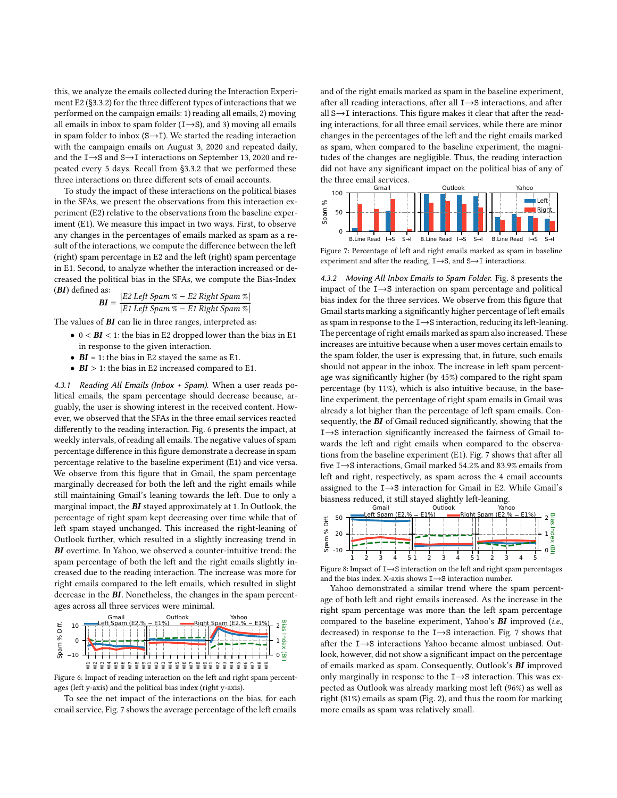this, we analyze the emails collected during the Interaction Experiment E2 ([§3.3.2\)](#page-2-2) for the three different types of interactions that we performed on the campaign emails: 1) reading all emails, 2) moving all emails in inbox to spam folder  $(I\rightarrow S)$ , and 3) moving all emails in spam folder to inbox  $(S \rightarrow I)$ . We started the reading interaction with the campaign emails on August 3, 2020 and repeated daily, and the I→S and S→I interactions on September 13, 2020 and repeated every 5 days. Recall from [§3.3.2](#page-2-2) that we performed these three interactions on three different sets of email accounts.

To study the impact of these interactions on the political biases in the SFAs, we present the observations from this interaction experiment (E2) relative to the observations from the baseline experiment (E1). We measure this impact in two ways. First, to observe any changes in the percentages of emails marked as spam as a result of the interactions, we compute the difference between the left (right) spam percentage in E2 and the left (right) spam percentage in E1. Second, to analyze whether the interaction increased or decreased the political bias in the SFAs, we compute the Bias-Index (BI) defined as:

**BI** = 
$$
\frac{|E2 \text{ Left} \text{Span } \% - E2 \text{ Right} \text{Span } \%|}{|E1 \text{ Left} \text{Span } \% - E1 \text{ Right} \text{Span } \%|}
$$

The values of  $BI$  can lie in three ranges, interpreted as:

- $0 < BI < 1$ : the bias in E2 dropped lower than the bias in E1 in response to the given interaction.
- $BI = 1$ : the bias in E2 stayed the same as E1.
- $BI > 1$ : the bias in E2 increased compared to E1.

*4.3.1 Reading All Emails (Inbox + Spam).* When a user reads political emails, the spam percentage should decrease because, arguably, the user is showing interest in the received content. However, we observed that the SFAs in the three email services reacted differently to the reading interaction. Fig. [6](#page-6-0) presents the impact, at weekly intervals, of reading all emails. The negative values of spam percentage difference in this figure demonstrate a decrease in spam percentage relative to the baseline experiment (E1) and vice versa. We observe from this figure that in Gmail, the spam percentage marginally decreased for both the left and the right emails while still maintaining Gmail's leaning towards the left. Due to only a marginal impact, the BI stayed approximately at 1. In Outlook, the percentage of right spam kept decreasing over time while that of left spam stayed unchanged. This increased the right-leaning of Outlook further, which resulted in a slightly increasing trend in BI overtime. In Yahoo, we observed a counter-intuitive trend: the spam percentage of both the left and the right emails slightly increased due to the reading interaction. The increase was more for right emails compared to the left emails, which resulted in slight decrease in the BI. Nonetheless, the changes in the spam percentages across all three services were minimal.

<span id="page-6-0"></span>

Figure 6: Impact of reading interaction on the left and right spam percentages (left y-axis) and the political bias index (right y-axis).

To see the net impact of the interactions on the bias, for each email service, Fig. [7](#page-6-1) shows the average percentage of the left emails and of the right emails marked as spam in the baseline experiment, after all reading interactions, after all I→S interactions, and after all S→I interactions. This figure makes it clear that after the reading interactions, for all three email services, while there are minor changes in the percentages of the left and the right emails marked as spam, when compared to the baseline experiment, the magnitudes of the changes are negligible. Thus, the reading interaction did not have any significant impact on the political bias of any of the three email services.

<span id="page-6-1"></span>

Figure 7: Percentage of left and right emails marked as spam in baseline experiment and after the reading, I→S, and S→I interactions.

*4.3.2 Moving All Inbox Emails to Spam Folder.* Fig. [8](#page-6-2) presents the impact of the I→S interaction on spam percentage and political bias index for the three services. We observe from this figure that Gmail starts marking a significantly higher percentage of left emails as spam in response to the I→S interaction, reducing its left-leaning. The percentage of right emails marked as spam also increased. These increases are intuitive because when a user moves certain emails to the spam folder, the user is expressing that, in future, such emails should not appear in the inbox. The increase in left spam percentage was significantly higher (by 45%) compared to the right spam percentage (by 11%), which is also intuitive because, in the baseline experiment, the percentage of right spam emails in Gmail was already a lot higher than the percentage of left spam emails. Consequently, the BI of Gmail reduced significantly, showing that the I→S interaction significantly increased the fairness of Gmail towards the left and right emails when compared to the observations from the baseline experiment (E1). Fig. [7](#page-6-1) shows that after all five I→S interactions, Gmail marked 54.2% and 83.9% emails from left and right, respectively, as spam across the 4 email accounts assigned to the I→S interaction for Gmail in E2. While Gmail's biasness reduced, it still stayed slightly left-leaning.

<span id="page-6-2"></span>

Figure 8: Impact of I→S interaction on the left and right spam percentages and the bias index. X-axis shows I→S interaction number.

Yahoo demonstrated a similar trend where the spam percentage of both left and right emails increased. As the increase in the right spam percentage was more than the left spam percentage compared to the baseline experiment, Yahoo's **BI** improved (i.e., decreased) in response to the I→S interaction. Fig. [7](#page-6-1) shows that after the I→S interactions Yahoo became almost unbiased. Outlook, however, did not show a significant impact on the percentage of emails marked as spam. Consequently, Outlook's BI improved only marginally in response to the I→S interaction. This was expected as Outlook was already marking most left (96%) as well as right (81%) emails as spam (Fig. [2\)](#page-3-0), and thus the room for marking more emails as spam was relatively small.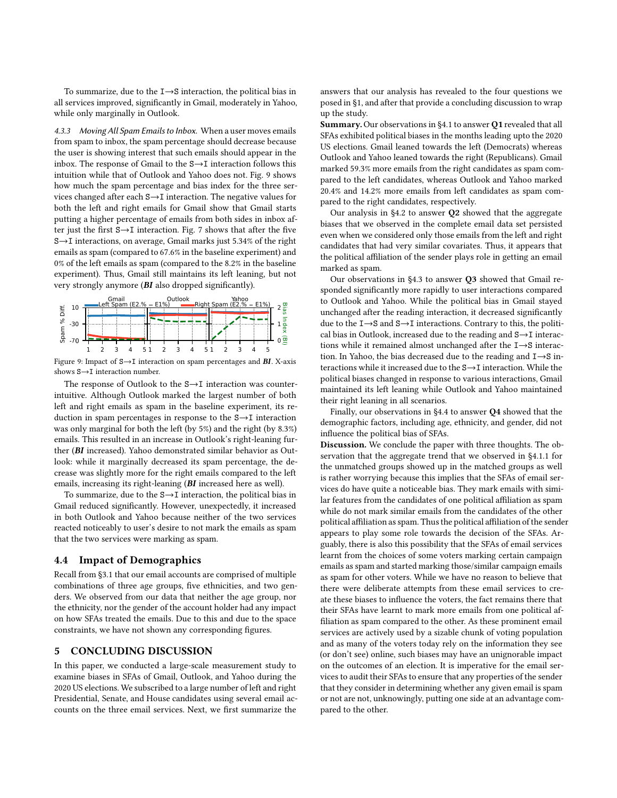To summarize, due to the I→S interaction, the political bias in all services improved, significantly in Gmail, moderately in Yahoo, while only marginally in Outlook.

*4.3.3 Moving All Spam Emails to Inbox.* When a user moves emails from spam to inbox, the spam percentage should decrease because the user is showing interest that such emails should appear in the inbox. The response of Gmail to the  $S \rightarrow I$  interaction follows this intuition while that of Outlook and Yahoo does not. Fig. [9](#page-7-2) shows how much the spam percentage and bias index for the three services changed after each S→I interaction. The negative values for both the left and right emails for Gmail show that Gmail starts putting a higher percentage of emails from both sides in inbox after just the first S→I interaction. Fig. [7](#page-6-1) shows that after the five S→I interactions, on average, Gmail marks just 5.34% of the right emails as spam (compared to 67.6% in the baseline experiment) and 0% of the left emails as spam (compared to the 8.2% in the baseline experiment). Thus, Gmail still maintains its left leaning, but not very strongly anymore (BI also dropped significantly).

<span id="page-7-2"></span>

Figure 9: Impact of S→I interaction on spam percentages and BI. X-axis shows S→I interaction number.

The response of Outlook to the S→I interaction was counterintuitive. Although Outlook marked the largest number of both left and right emails as spam in the baseline experiment, its reduction in spam percentages in response to the S→I interaction was only marginal for both the left (by 5%) and the right (by 8.3%) emails. This resulted in an increase in Outlook's right-leaning further (BI increased). Yahoo demonstrated similar behavior as Outlook: while it marginally decreased its spam percentage, the decrease was slightly more for the right emails compared to the left emails, increasing its right-leaning (BI increased here as well).

To summarize, due to the S→I interaction, the political bias in Gmail reduced significantly. However, unexpectedly, it increased in both Outlook and Yahoo because neither of the two services reacted noticeably to user's desire to not mark the emails as spam that the two services were marking as spam.

#### <span id="page-7-1"></span>4.4 Impact of Demographics

Recall from [§3.1](#page-1-3) that our email accounts are comprised of multiple combinations of three age groups, five ethnicities, and two genders. We observed from our data that neither the age group, nor the ethnicity, nor the gender of the account holder had any impact on how SFAs treated the emails. Due to this and due to the space constraints, we have not shown any corresponding figures.

### <span id="page-7-0"></span>5 CONCLUDING DISCUSSION

In this paper, we conducted a large-scale measurement study to examine biases in SFAs of Gmail, Outlook, and Yahoo during the 2020 US elections. We subscribed to a large number of left and right Presidential, Senate, and House candidates using several email accounts on the three email services. Next, we first summarize the answers that our analysis has revealed to the four questions we posed in [§1,](#page-0-1) and after that provide a concluding discussion to wrap up the study.

Summary. Our observations in [§4.1](#page-2-1) to answer Q1 revealed that all SFAs exhibited political biases in the months leading upto the 2020 US elections. Gmail leaned towards the left (Democrats) whereas Outlook and Yahoo leaned towards the right (Republicans). Gmail marked 59.3% more emails from the right candidates as spam compared to the left candidates, whereas Outlook and Yahoo marked 20.4% and 14.2% more emails from left candidates as spam compared to the right candidates, respectively.

Our analysis in [§4.2](#page-3-4) to answer Q2 showed that the aggregate biases that we observed in the complete email data set persisted even when we considered only those emails from the left and right candidates that had very similar covariates. Thus, it appears that the political affiliation of the sender plays role in getting an email marked as spam.

 $\frac{5}{2}$  du  $\sum_{n=1}^{\infty}$  cal bias in Outlook, increased due to the reading and S $\rightarrow$ I interac- $\overline{z}$  tions while it remained almost unchanged after the I $\rightarrow$ S interac-Our observations in [§4.3](#page-5-0) to answer Q3 showed that Gmail responded significantly more rapidly to user interactions compared to Outlook and Yahoo. While the political bias in Gmail stayed unchanged after the reading interaction, it decreased significantly due to the I→S and S→I interactions. Contrary to this, the politition. In Yahoo, the bias decreased due to the reading and I→S interactions while it increased due to the S→I interaction. While the political biases changed in response to various interactions, Gmail maintained its left leaning while Outlook and Yahoo maintained their right leaning in all scenarios.

> Finally, our observations in [§4.4](#page-7-1) to answer Q4 showed that the demographic factors, including age, ethnicity, and gender, did not influence the political bias of SFAs.

Discussion. We conclude the paper with three thoughts. The observation that the aggregate trend that we observed in [§4.1.1](#page-3-3) for the unmatched groups showed up in the matched groups as well is rather worrying because this implies that the SFAs of email services do have quite a noticeable bias. They mark emails with similar features from the candidates of one political affiliation as spam while do not mark similar emails from the candidates of the other political affiliation as spam. Thus the political affiliation of the sender appears to play some role towards the decision of the SFAs. Arguably, there is also this possibility that the SFAs of email services learnt from the choices of some voters marking certain campaign emails as spam and started marking those/similar campaign emails as spam for other voters. While we have no reason to believe that there were deliberate attempts from these email services to create these biases to influence the voters, the fact remains there that their SFAs have learnt to mark more emails from one political affiliation as spam compared to the other. As these prominent email services are actively used by a sizable chunk of voting population and as many of the voters today rely on the information they see (or don't see) online, such biases may have an unignorable impact on the outcomes of an election. It is imperative for the email services to audit their SFAs to ensure that any properties of the sender that they consider in determining whether any given email is spam or not are not, unknowingly, putting one side at an advantage compared to the other.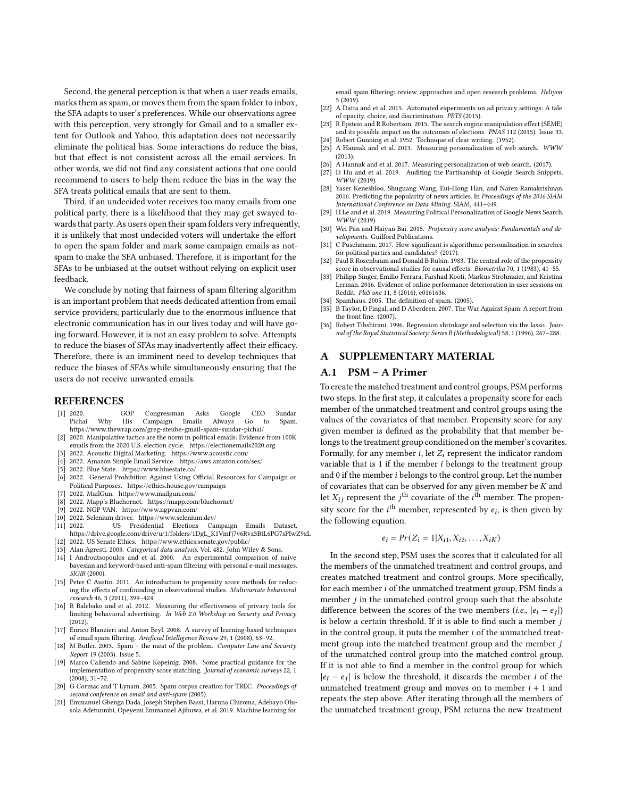Second, the general perception is that when a user reads emails, marks them as spam, or moves them from the spam folder to inbox, the SFA adapts to user's preferences. While our observations agree with this perception, very strongly for Gmail and to a smaller extent for Outlook and Yahoo, this adaptation does not necessarily eliminate the political bias. Some interactions do reduce the bias, but that effect is not consistent across all the email services. In other words, we did not find any consistent actions that one could recommend to users to help them reduce the bias in the way the SFA treats political emails that are sent to them.

Third, if an undecided voter receives too many emails from one political party, there is a likelihood that they may get swayed towards that party. As users open their spam folders very infrequently, it is unlikely that most undecided voters will undertake the effort to open the spam folder and mark some campaign emails as notspam to make the SFA unbiased. Therefore, it is important for the SFAs to be unbiased at the outset without relying on explicit user feedback.

We conclude by noting that fairness of spam filtering algorithm is an important problem that needs dedicated attention from email service providers, particularly due to the enormous influence that electronic communication has in our lives today and will have going forward. However, it is not an easy problem to solve. Attempts to reduce the biases of SFAs may inadvertently affect their efficacy. Therefore, there is an imminent need to develop techniques that reduce the biases of SFAs while simultaneously ensuring that the users do not receive unwanted emails.

#### REFERENCES

- <span id="page-8-1"></span>[1] 2020. GOP Congressman Asks Google CEO Sundar Pichai Why His Campaign Emails Always Go to Spam. <https://www.thewrap.com/greg-steube-gmail-spam-sundar-pichai/>
- <span id="page-8-9"></span>[2] 2020. Manipulative tactics are the norm in political emails: Evidence from 100K emails from the 2020 U.S. election cycle.<https://electionemails2020.org>
- <span id="page-8-26"></span>[3] 2022. Acoustic Digital Marketing.<https://www.acoustic.com/>
- <span id="page-8-27"></span>[4] 2022. Amazon Simple Email Service.<https://aws.amazon.com/ses/><br>[5] 2022. Blue State https://www.bluestate.co/
- <span id="page-8-29"></span>[5] 2022. Blue State.<https://www.bluestate.co/>
- <span id="page-8-16"></span>[6] 2022. General Prohibition Against Using Official Resources for Campaign or Political Purposes.<https://ethics.house.gov/campaign>
- <span id="page-8-28"></span>[7] 2022. MailGun.<https://www.mailgun.com/>
- <span id="page-8-25"></span>[8] 2022. Mapp's Bluehornet.<https://mapp.com/bluehornet/> [9] 2022. NGP VAN.<https://www.ngpvan.com/>
- <span id="page-8-30"></span>
- <span id="page-8-18"></span>[10] 2022. Selenium driver.<https://www.selenium.dev/>
- <span id="page-8-3"></span>[11] 2022. US Presidential Elections Campaign Emails Dataset. [https://drive.google.com/drive/u/1/folders/1DgL\\_K1Vmfj7v6Rvz3BtL6PG7sPIwZ9xL](https://drive.google.com/drive/u/1/folders/1DgL_K1Vmfj7v6Rvz3BtL6PG7sPIwZ9xL)
- <span id="page-8-17"></span>[12] 2022. US Senate Ethics.<https://www.ethics.senate.gov/public/>
- <span id="page-8-34"></span>Alan Agresti. 2003. Categorical data analysis. Vol. 482. John Wiley & Sons.
- <span id="page-8-6"></span>[14] I Androutsopoulos and et al. 2000. An experimental comparison of naive bayesian and keyword-based anti-spam filtering with personal e-mail messages. SIGIR (2000).
- <span id="page-8-36"></span>[15] Peter C Austin. 2011. An introduction to propensity score methods for reducing the effects of confounding in observational studies. Multivariate behavioral research 46, 3 (2011), 399–424.
- <span id="page-8-10"></span>[16] R Balebako and et al. 2012. Measuring the effectiveness of privacy tools for limiting behavioral advertising. In Web 2.0 Workshop on Security and Privacy (2012).
- <span id="page-8-23"></span>[17] Enrico Blanzieri and Anton Bryl. 2008. A survey of learning-based techniques of email spam filtering. Artificial Intelligence Review 29, 1 (2008), 63–92.
- <span id="page-8-4"></span>[18] M Butler. 2003. Spam - the meat of the problem. Computer Law and Security Report 19 (2003). Issue 5.
- <span id="page-8-22"></span>[19] Marco Caliendo and Sabine Kopeinig. 2008. Some practical guidance for the implementation of propensity score matching. Journal of economic surveys 22, 1 (2008), 31–72.
- <span id="page-8-5"></span>[20] G Cormac and T Lynam. 2005. Spam corpus creation for TREC. Proceedings of second conference on email and anti-spam (2005).
- <span id="page-8-24"></span>[21] Emmanuel Gbenga Dada, Joseph Stephen Bassi, Haruna Chiroma, Adebayo Olusola Adetunmbi, Opeyemi Emmanuel Ajibuwa, et al. 2019. Machine learning for

email spam filtering: review, approaches and open research problems. Heliyon 5 (2019)

- <span id="page-8-11"></span>[22] A Datta and et al. 2015. Automated experiments on ad privacy settings: A tale of opacity, choice, and discrimination. PETS (2015).
- <span id="page-8-0"></span>[23] R Epstein and R Robertson. 2015. The search engine manipulation effect (SEME) and its possible impact on the outcomes of elections. PNAS 112 (2015). Issue 33.
- <span id="page-8-31"></span><span id="page-8-12"></span>[24] Robert Gunning et al. 1952. Technique of clear writing. (1952).<br>[25] A Hannak and et al. 2013. Measuring personalization of web A Hannak and et al. 2013. Measuring personalization of web search. WWW (2013).
- <span id="page-8-13"></span>[26] A Hannak and et al. 2017. Measuring personalization of web search. (2017).
- <span id="page-8-19"></span>[27] D Hu and et al. 2019. Auditing the Partisanship of Google Search Snippets. WWW (2019).
- <span id="page-8-32"></span>[28] Yaser Keneshloo, Shuguang Wang, Eui-Hong Han, and Naren Ramakrishnan. 2016. Predicting the popularity of news articles. In Proceedings of the 2016 SIAM International Conference on Data Mining. SIAM, 441–449.
- <span id="page-8-15"></span>[29] H Le and et al. 2019. Measuring Political Personalization of Google News Search. WWW (2019).
- <span id="page-8-20"></span>[30] Wei Pan and Haiyan Bai. 2015. Propensity score analysis: Fundamentals and developments. Guilford Publications.
- <span id="page-8-14"></span>[31] C Puschmann. 2017. How significant is algorithmic personalization in searches for political parties and candidates? (2017).
- <span id="page-8-2"></span>[32] Paul R Rosenbaum and Donald B Rubin. 1983. The central role of the propensity score in observational studies for causal effects. Biometrika 70, 1 (1983), 41–55.
- <span id="page-8-33"></span>[33] Philipp Singer, Emilio Ferrara, Farshad Kooti, Markus Strohmaier, and Kristina Lerman. 2016. Evidence of online performance deterioration in user sessions on Reddit. PloS one 11, 8 (2016), e0161636.
- <span id="page-8-7"></span>[34] Spamhaus. 2005. The definition of spam. (2005).
- <span id="page-8-8"></span>[35] B Taylor, D Fingal, and D Aberdeen. 2007. The War Against Spam: A report from the front line. (2007).
- <span id="page-8-35"></span>[36] Robert Tibshirani. 1996. Regression shrinkage and selection via the lasso. Journal of the Royal Statistical Society: Series B (Methodological) 58, 1 (1996), 267–288.

#### <span id="page-8-21"></span>A SUPPLEMENTARY MATERIAL

## A.1 PSM – A Primer

To create the matched treatment and control groups, PSM performs two steps. In the first step, it calculates a propensity score for each member of the unmatched treatment and control groups using the values of the covariates of that member. Propensity score for any given member is defined as the probability that that member belongs to the treatment group conditioned on the member's covarites. Formally, for any member  $i$ , let  $Z_i$  represent the indicator random variable that is 1 if the member  $i$  belongs to the treatment group and  $0$  if the member  $i$  belongs to the control group. Let the number of covariates that can be observed for any given member be  $K$  and let  $X_{ij}$  represent the  $j^{\text{th}}$  covariate of the  $i^{\text{th}}$  member. The propensity score for the  $i^{\text{th}}$  member, represented by  $e_i$ , is then given by the following equation.

$$
e_i = Pr(Z_i = 1 | X_{i1}, X_{i2}, \dots, X_{iK})
$$

In the second step, PSM uses the scores that it calculated for all the members of the unmatched treatment and control groups, and creates matched treatment and control groups. More specifically, for each member  $i$  of the unmatched treatment group, PSM finds a member  $j$  in the unmatched control group such that the absolute difference between the scores of the two members (*i.e.*,  $|e_i - e_j|$ ) is below a certain threshold. If it is able to find such a member  $j$ in the control group, it puts the member  $i$  of the unmatched treatment group into the matched treatment group and the member  $j$ of the unmatched control group into the matched control group. If it is not able to find a member in the control group for which  $|e_i - e_j|$  is below the threshold, it discards the member *i* of the unmatched treatment group and moves on to member  $i + 1$  and repeats the step above. After iterating through all the members of the unmatched treatment group, PSM returns the new treatment